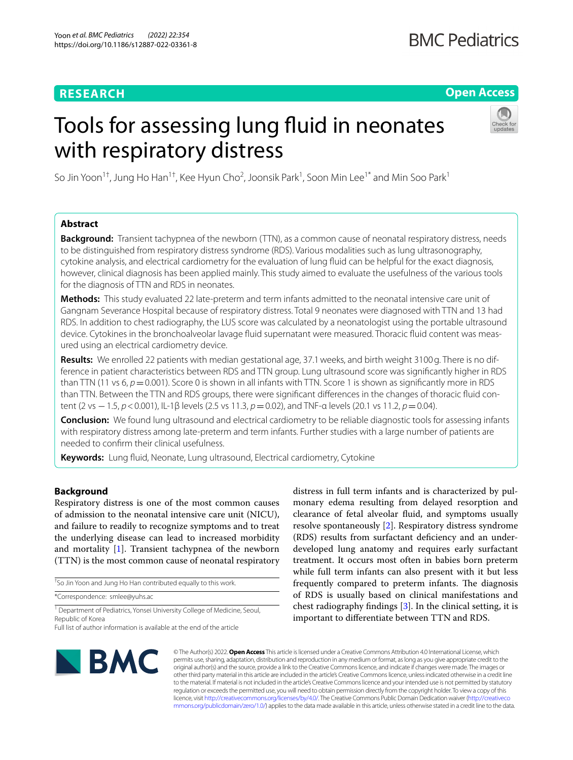# **RESEARCH**

## **Open Access**

# Tools for assessing lung fluid in neonates with respiratory distress



So Jin Yoon<sup>1+</sup>, Jung Ho Han<sup>1†</sup>, Kee Hyun Cho<sup>2</sup>, Joonsik Park<sup>1</sup>, Soon Min Lee<sup>1\*</sup> and Min Soo Park<sup>1</sup>

### **Abstract**

**Background:** Transient tachypnea of the newborn (TTN), as a common cause of neonatal respiratory distress, needs to be distinguished from respiratory distress syndrome (RDS). Various modalities such as lung ultrasonography, cytokine analysis, and electrical cardiometry for the evaluation of lung fuid can be helpful for the exact diagnosis, however, clinical diagnosis has been applied mainly. This study aimed to evaluate the usefulness of the various tools for the diagnosis of TTN and RDS in neonates.

**Methods:** This study evaluated 22 late-preterm and term infants admitted to the neonatal intensive care unit of Gangnam Severance Hospital because of respiratory distress. Total 9 neonates were diagnosed with TTN and 13 had RDS. In addition to chest radiography, the LUS score was calculated by a neonatologist using the portable ultrasound device. Cytokines in the bronchoalveolar lavage fuid supernatant were measured. Thoracic fuid content was measured using an electrical cardiometry device.

**Results:** We enrolled 22 patients with median gestational age, 37.1weeks, and birth weight 3100g. There is no difference in patient characteristics between RDS and TTN group. Lung ultrasound score was signifcantly higher in RDS than TTN (11 vs  $6, p = 0.001$ ). Score 0 is shown in all infants with TTN. Score 1 is shown as significantly more in RDS than TTN. Between the TTN and RDS groups, there were signifcant diferences in the changes of thoracic fuid content (2 vs −1.5, *p*<0.001), IL-1β levels (2.5 vs 11.3, *p*=0.02), and TNF-α levels (20.1 vs 11.2, *p*=0.04).

**Conclusion:** We found lung ultrasound and electrical cardiometry to be reliable diagnostic tools for assessing infants with respiratory distress among late-preterm and term infants. Further studies with a large number of patients are needed to confrm their clinical usefulness.

**Keywords:** Lung fuid, Neonate, Lung ultrasound, Electrical cardiometry, Cytokine

#### **Background**

Respiratory distress is one of the most common causes of admission to the neonatal intensive care unit (NICU), and failure to readily to recognize symptoms and to treat the underlying disease can lead to increased morbidity and mortality [\[1\]](#page-5-0). Transient tachypnea of the newborn (TTN) is the most common cause of neonatal respiratory

† So Jin Yoon and Jung Ho Han contributed equally to this work.

\*Correspondence: smlee@yuhs.ac

<sup>1</sup> Department of Pediatrics, Yonsei University College of Medicine, Seoul, Republic of Korea

distress in full term infants and is characterized by pulmonary edema resulting from delayed resorption and clearance of fetal alveolar fuid, and symptoms usually resolve spontaneously [\[2\]](#page-5-1). Respiratory distress syndrome (RDS) results from surfactant defciency and an underdeveloped lung anatomy and requires early surfactant treatment. It occurs most often in babies born preterm while full term infants can also present with it but less frequently compared to preterm infants. The diagnosis of RDS is usually based on clinical manifestations and chest radiography fndings [\[3](#page-5-2)]. In the clinical setting, it is important to diferentiate between TTN and RDS.



© The Author(s) 2022. **Open Access** This article is licensed under a Creative Commons Attribution 4.0 International License, which permits use, sharing, adaptation, distribution and reproduction in any medium or format, as long as you give appropriate credit to the original author(s) and the source, provide a link to the Creative Commons licence, and indicate if changes were made. The images or other third party material in this article are included in the article's Creative Commons licence, unless indicated otherwise in a credit line to the material. If material is not included in the article's Creative Commons licence and your intended use is not permitted by statutory regulation or exceeds the permitted use, you will need to obtain permission directly from the copyright holder. To view a copy of this licence, visit [http://creativecommons.org/licenses/by/4.0/.](http://creativecommons.org/licenses/by/4.0/) The Creative Commons Public Domain Dedication waiver ([http://creativeco](http://creativecommons.org/publicdomain/zero/1.0/) [mmons.org/publicdomain/zero/1.0/](http://creativecommons.org/publicdomain/zero/1.0/)) applies to the data made available in this article, unless otherwise stated in a credit line to the data.

Full list of author information is available at the end of the article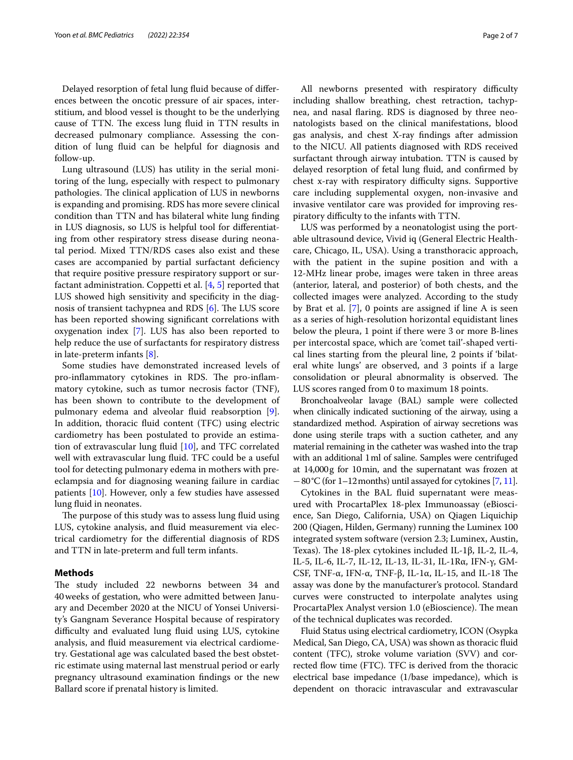Delayed resorption of fetal lung fuid because of diferences between the oncotic pressure of air spaces, interstitium, and blood vessel is thought to be the underlying cause of TTN. The excess lung fluid in TTN results in decreased pulmonary compliance. Assessing the condition of lung fuid can be helpful for diagnosis and follow-up.

Lung ultrasound (LUS) has utility in the serial monitoring of the lung, especially with respect to pulmonary pathologies. The clinical application of LUS in newborns is expanding and promising. RDS has more severe clinical condition than TTN and has bilateral white lung fnding in LUS diagnosis, so LUS is helpful tool for diferentiating from other respiratory stress disease during neonatal period. Mixed TTN/RDS cases also exist and these cases are accompanied by partial surfactant defciency that require positive pressure respiratory support or surfactant administration. Coppetti et al. [\[4](#page-5-3), [5\]](#page-5-4) reported that LUS showed high sensitivity and specificity in the diagnosis of transient tachypnea and RDS  $[6]$  $[6]$ . The LUS score has been reported showing signifcant correlations with oxygenation index [\[7](#page-5-6)]. LUS has also been reported to help reduce the use of surfactants for respiratory distress in late-preterm infants [[8](#page-5-7)].

Some studies have demonstrated increased levels of pro-inflammatory cytokines in RDS. The pro-inflammatory cytokine, such as tumor necrosis factor (TNF), has been shown to contribute to the development of pulmonary edema and alveolar fuid reabsorption [\[9](#page-5-8)]. In addition, thoracic fuid content (TFC) using electric cardiometry has been postulated to provide an estimation of extravascular lung fuid [[10\]](#page-5-9), and TFC correlated well with extravascular lung fuid. TFC could be a useful tool for detecting pulmonary edema in mothers with preeclampsia and for diagnosing weaning failure in cardiac patients [[10\]](#page-5-9). However, only a few studies have assessed lung fluid in neonates.

The purpose of this study was to assess lung fluid using LUS, cytokine analysis, and fluid measurement via electrical cardiometry for the diferential diagnosis of RDS and TTN in late-preterm and full term infants.

#### **Methods**

The study included 22 newborns between 34 and 40weeks of gestation, who were admitted between January and December 2020 at the NICU of Yonsei University's Gangnam Severance Hospital because of respiratory difficulty and evaluated lung fluid using LUS, cytokine analysis, and fuid measurement via electrical cardiometry. Gestational age was calculated based the best obstetric estimate using maternal last menstrual period or early pregnancy ultrasound examination fndings or the new Ballard score if prenatal history is limited.

All newborns presented with respiratory difficulty including shallow breathing, chest retraction, tachypnea, and nasal faring. RDS is diagnosed by three neonatologists based on the clinical manifestations, blood gas analysis, and chest X-ray fndings after admission to the NICU. All patients diagnosed with RDS received surfactant through airway intubation. TTN is caused by delayed resorption of fetal lung fuid, and confrmed by chest x-ray with respiratory difficulty signs. Supportive care including supplemental oxygen, non-invasive and invasive ventilator care was provided for improving respiratory difficulty to the infants with TTN.

LUS was performed by a neonatologist using the portable ultrasound device, Vivid iq (General Electric Healthcare, Chicago, IL, USA). Using a transthoracic approach, with the patient in the supine position and with a 12-MHz linear probe, images were taken in three areas (anterior, lateral, and posterior) of both chests, and the collected images were analyzed. According to the study by Brat et al. [[7\]](#page-5-6), 0 points are assigned if line A is seen as a series of high-resolution horizontal equidistant lines below the pleura, 1 point if there were 3 or more B-lines per intercostal space, which are 'comet tail'-shaped vertical lines starting from the pleural line, 2 points if 'bilateral white lungs' are observed, and 3 points if a large consolidation or pleural abnormality is observed. The LUS scores ranged from 0 to maximum 18 points.

Bronchoalveolar lavage (BAL) sample were collected when clinically indicated suctioning of the airway, using a standardized method. Aspiration of airway secretions was done using sterile traps with a suction catheter, and any material remaining in the catheter was washed into the trap with an additional 1ml of saline. Samples were centrifuged at 14,000g for 10min, and the supernatant was frozen at −80°C (for 1–12months) until assayed for cytokines [[7](#page-5-6), [11](#page-5-10)].

Cytokines in the BAL fuid supernatant were measured with ProcartaPlex 18-plex Immunoassay (eBioscience, San Diego, California, USA) on Qiagen Liquichip 200 (Qiagen, Hilden, Germany) running the Luminex 100 integrated system software (version 2.3; Luminex, Austin, Texas). The 18-plex cytokines included IL-1β, IL-2, IL-4, IL-5, IL-6, IL-7, IL-12, IL-13, IL-31, IL-1Rα, IFN-γ, GM-CSF, TNF- $\alpha$ , IFN- $\alpha$ , TNF- $\beta$ , IL-1 $\alpha$ , IL-15, and IL-18 The assay was done by the manufacturer's protocol. Standard curves were constructed to interpolate analytes using ProcartaPlex Analyst version 1.0 (eBioscience). The mean of the technical duplicates was recorded.

Fluid Status using electrical cardiometry, ICON (Osypka Medical, San Diego, CA, USA) was shown as thoracic fuid content (TFC), stroke volume variation (SVV) and corrected flow time (FTC). TFC is derived from the thoracic electrical base impedance (1/base impedance), which is dependent on thoracic intravascular and extravascular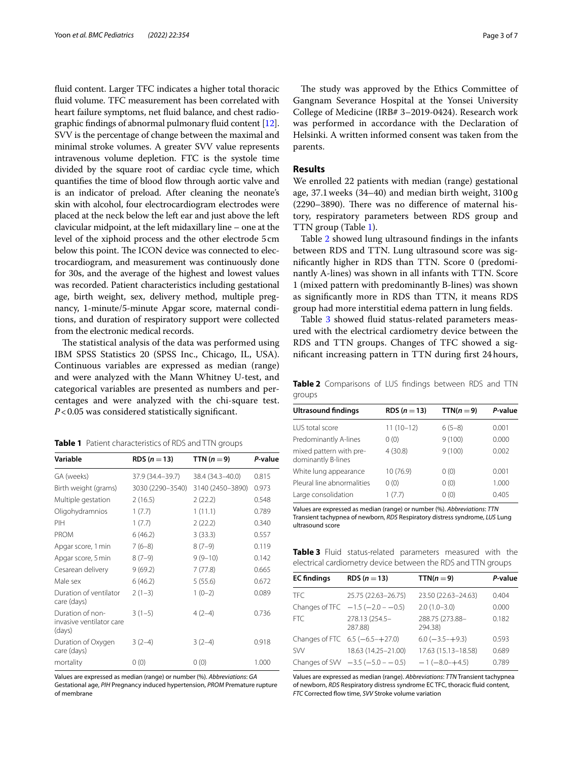fuid content. Larger TFC indicates a higher total thoracic fuid volume. TFC measurement has been correlated with heart failure symptoms, net fuid balance, and chest radiographic fndings of abnormal pulmonary fuid content [[12](#page-5-11)]. SVV is the percentage of change between the maximal and minimal stroke volumes. A greater SVV value represents intravenous volume depletion. FTC is the systole time divided by the square root of cardiac cycle time, which quantifies the time of blood flow through aortic valve and is an indicator of preload. After cleaning the neonate's skin with alcohol, four electrocardiogram electrodes were placed at the neck below the left ear and just above the left clavicular midpoint, at the left midaxillary line – one at the level of the xiphoid process and the other electrode 5cm below this point. The ICON device was connected to electrocardiogram, and measurement was continuously done for 30s, and the average of the highest and lowest values was recorded. Patient characteristics including gestational age, birth weight, sex, delivery method, multiple pregnancy, 1-minute/5-minute Apgar score, maternal conditions, and duration of respiratory support were collected from the electronic medical records.

The statistical analysis of the data was performed using IBM SPSS Statistics 20 (SPSS Inc., Chicago, IL, USA). Continuous variables are expressed as median (range) and were analyzed with the Mann Whitney U-test, and categorical variables are presented as numbers and percentages and were analyzed with the chi-square test. *P*<0.05 was considered statistically signifcant.

<span id="page-2-0"></span>**Table 1** Patient characteristics of RDS and TTN groups

| Variable                                               | <b>RDS</b> ( $n = 13$ ) | TTN $(n=9)$      | P-value |
|--------------------------------------------------------|-------------------------|------------------|---------|
| GA (weeks)                                             | 37.9 (34.4–39.7)        | 38.4 (34.3–40.0) | 0.815   |
| Birth weight (grams)                                   | 3030 (2290-3540)        | 3140 (2450-3890) | 0.973   |
| Multiple gestation                                     | 2(16.5)                 | 2(22.2)          | 0.548   |
| Oligohydramnios                                        | 1(7.7)                  | 1(11.1)          | 0.789   |
| PIH                                                    | 1(7.7)                  | 2(22.2)          | 0.340   |
| <b>PROM</b>                                            | 6(46.2)                 | 3(33.3)          | 0.557   |
| Apgar score, 1 min                                     | $7(6-8)$                | $8(7-9)$         | 0.119   |
| Apgar score, 5 min                                     | $8(7-9)$                | $9(9-10)$        | 0.142   |
| Cesarean delivery                                      | 9(69.2)                 | 7(77.8)          | 0.665   |
| Male sex                                               | 6(46.2)                 | 5(55.6)          | 0.672   |
| Duration of ventilator<br>care (days)                  | $2(1-3)$                | $1(0-2)$         | 0.089   |
| Duration of non-<br>invasive ventilator care<br>(days) | $3(1-5)$                | $4(2-4)$         | 0.736   |
| Duration of Oxygen<br>care (days)                      | $3(2-4)$                | $3(2-4)$         | 0.918   |
| mortality                                              | 0(0)                    | 0(0)             | 1.000   |

Values are expressed as median (range) or number (%). *Abbreviations*: *GA*

Gestational age, *PIH* Pregnancy induced hypertension, *PROM* Premature rupture of membrane

The study was approved by the Ethics Committee of Gangnam Severance Hospital at the Yonsei University College of Medicine (IRB# 3–2019-0424). Research work was performed in accordance with the Declaration of Helsinki. A written informed consent was taken from the parents.

#### **Results**

We enrolled 22 patients with median (range) gestational age, 37.1weeks (34–40) and median birth weight, 3100g  $(2290-3890)$ . There was no difference of maternal history, respiratory parameters between RDS group and TTN group (Table [1](#page-2-0)).

Table [2](#page-2-1) showed lung ultrasound fndings in the infants between RDS and TTN. Lung ultrasound score was signifcantly higher in RDS than TTN. Score 0 (predominantly A-lines) was shown in all infants with TTN. Score 1 (mixed pattern with predominantly B-lines) was shown as signifcantly more in RDS than TTN, it means RDS group had more interstitial edema pattern in lung felds.

Table [3](#page-2-2) showed fluid status-related parameters measured with the electrical cardiometry device between the RDS and TTN groups. Changes of TFC showed a signifcant increasing pattern in TTN during frst 24hours,

<span id="page-2-1"></span>**Table 2** Comparisons of LUS fndings between RDS and TTN groups

| <b>Ultrasound findings</b>                    | RDS ( $n = 13$ ) | $TTN(n=9)$ | P-value |
|-----------------------------------------------|------------------|------------|---------|
| <b>LUS</b> total score                        | $11(10-12)$      | $6(5-8)$   | 0.001   |
| Predominantly A-lines                         | 0(0)             | 9(100)     | 0.000   |
| mixed pattern with pre-<br>dominantly B-lines | 4(30.8)          | 9(100)     | 0.002   |
| White lung appearance                         | 10 (76.9)        | 0(0)       | 0.001   |
| Pleural line abnormalities                    | 0(0)             | 0(0)       | 1.000   |
| Large consolidation                           | 1(7.7)           | 0(0)       | 0.405   |

Values are expressed as median (range) or number (%). *Abbreviations*: *TTN* Transient tachypnea of newborn, *RDS* Respiratory distress syndrome, *LUS* Lung ultrasound score

<span id="page-2-2"></span>**Table 3** Fluid status-related parameters measured with the electrical cardiometry device between the RDS and TTN groups

| <b>EC</b> findings | RDS ( $n = 13$ )                          | TTN( $n = 9$ )             | P-value |
|--------------------|-------------------------------------------|----------------------------|---------|
| <b>TFC</b>         | 25.75 (22.63-26.75)                       | 23.50 (22.63-24.63)        | 0.404   |
|                    | Changes of TFC $-1.5$ ( $-2.0$ - $-0.5$ ) | $2.0(1.0-3.0)$             | 0.000   |
| FTC.               | 278.13 (254.5-<br>287.88)                 | 288.75 (273.88-<br>294.38) | 0.182   |
|                    | Changes of FTC 6.5 (-6.5-+27.0)           | $6.0$ (-3.5-+9.3)          | 0.593   |
| <b>SW</b>          | 18.63 (14.25-21.00)                       | 17.63 (15.13-18.58)        | 0.689   |
|                    | Changes of SVV $-3.5$ ( $-5.0 - 0.5$ )    | $-1(-8.0 - +4.5)$          | 0.789   |

Values are expressed as median (range). *Abbreviations*: *TTN* Transient tachypnea of newborn, *RDS* Respiratory distress syndrome EC TFC, thoracic fuid content, *FTC* Corrected flow time, *SVV* Stroke volume variation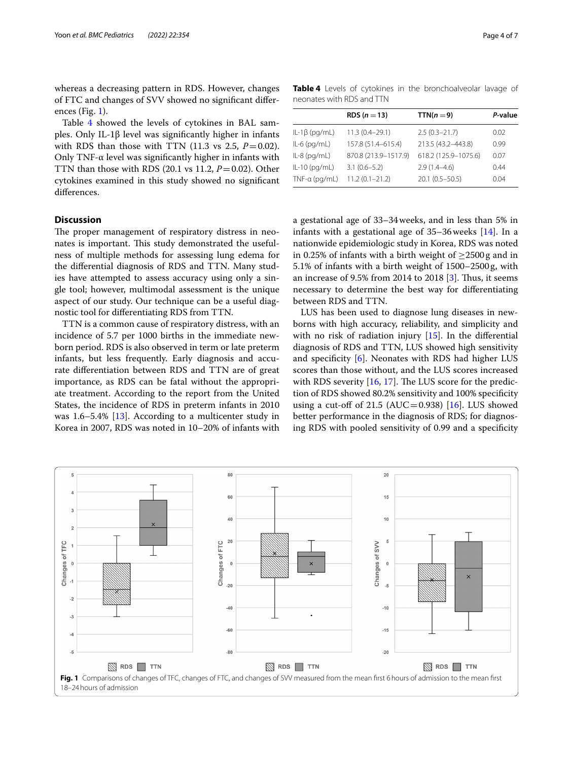whereas a decreasing pattern in RDS. However, changes of FTC and changes of SVV showed no signifcant diferences (Fig. [1\)](#page-3-0).

Table [4](#page-3-1) showed the levels of cytokines in BAL samples. Only IL-1β level was signifcantly higher in infants with RDS than those with TTN (11.3 vs 2.5,  $P=0.02$ ). Only TNF- $\alpha$  level was significantly higher in infants with TTN than those with RDS  $(20.1 \text{ vs } 11.2, P=0.02)$ . Other cytokines examined in this study showed no signifcant diferences.

#### **Discussion**

The proper management of respiratory distress in neonates is important. This study demonstrated the usefulness of multiple methods for assessing lung edema for the diferential diagnosis of RDS and TTN. Many studies have attempted to assess accuracy using only a single tool; however, multimodal assessment is the unique aspect of our study. Our technique can be a useful diagnostic tool for diferentiating RDS from TTN.

TTN is a common cause of respiratory distress, with an incidence of 5.7 per 1000 births in the immediate newborn period. RDS is also observed in term or late preterm infants, but less frequently. Early diagnosis and accurate diferentiation between RDS and TTN are of great importance, as RDS can be fatal without the appropriate treatment. According to the report from the United States, the incidence of RDS in preterm infants in 2010 was 1.6–5.4% [[13\]](#page-5-12). According to a multicenter study in Korea in 2007, RDS was noted in 10–20% of infants with

<span id="page-3-1"></span>**Table 4** Levels of cytokines in the bronchoalveolar lavage of neonates with RDS and TTN

|                     | RDS $(n=13)$         | $TTN(n=9)$           | P-value |
|---------------------|----------------------|----------------------|---------|
| $IL-1\beta$ (pg/mL) | $11.3(0.4 - 29.1)$   | $2.5(0.3 - 21.7)$    | 0.02    |
| $IL-6$ (pg/mL)      | 157.8 (51.4-615.4)   | 213.5 (43.2-443.8)   | 0.99    |
| $IL-8$ (pg/mL)      | 870.8 (213.9-1517.9) | 618.2 (125.9-1075.6) | 0.07    |
| $IL-10$ (pg/mL)     | $3.1(0.6 - 5.2)$     | $2.9(1.4 - 4.6)$     | 0.44    |
| $TNF-a$ (pg/mL)     | $11.2(0.1 - 21.2)$   | $20.1(0.5 - 50.5)$   | 0.04    |

a gestational age of 33–34weeks, and in less than 5% in infants with a gestational age of  $35-36$  weeks  $[14]$  $[14]$  $[14]$ . In a nationwide epidemiologic study in Korea, RDS was noted in 0.25% of infants with a birth weight of  $\geq$ 2500 g and in 5.1% of infants with a birth weight of 1500–2500g, with an increase of 9.5% from 2014 to 2018  $[3]$  $[3]$ . Thus, it seems necessary to determine the best way for diferentiating between RDS and TTN.

LUS has been used to diagnose lung diseases in newborns with high accuracy, reliability, and simplicity and with no risk of radiation injury  $[15]$  $[15]$ . In the differential diagnosis of RDS and TTN, LUS showed high sensitivity and specifcity [[6\]](#page-5-5). Neonates with RDS had higher LUS scores than those without, and the LUS scores increased with RDS severity  $[16, 17]$  $[16, 17]$  $[16, 17]$ . The LUS score for the prediction of RDS showed 80.2% sensitivity and 100% specifcity using a cut-off of 21.5 (AUC=0.938)  $[16]$  $[16]$ . LUS showed better performance in the diagnosis of RDS; for diagnosing RDS with pooled sensitivity of 0.99 and a specifcity

<span id="page-3-0"></span>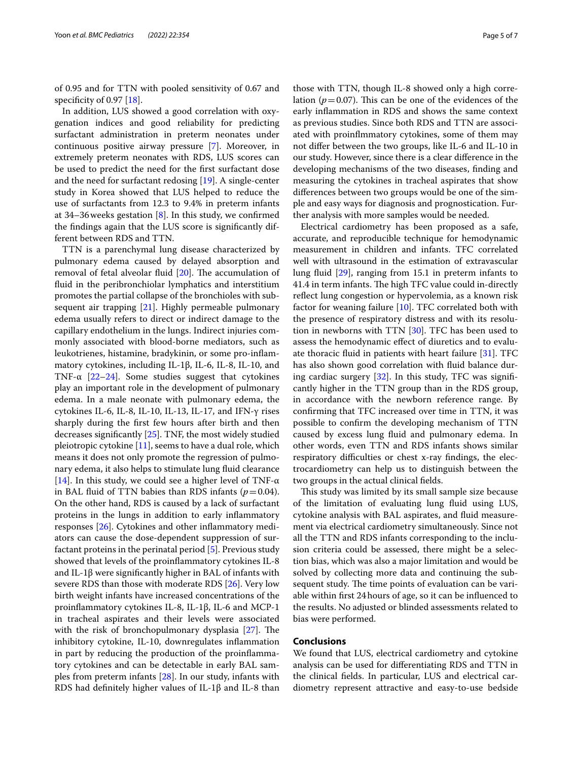of 0.95 and for TTN with pooled sensitivity of 0.67 and specificity of 0.97 [\[18\]](#page-5-17).

In addition, LUS showed a good correlation with oxygenation indices and good reliability for predicting surfactant administration in preterm neonates under continuous positive airway pressure [[7\]](#page-5-6). Moreover, in extremely preterm neonates with RDS, LUS scores can be used to predict the need for the frst surfactant dose and the need for surfactant redosing [[19\]](#page-5-18). A single-center study in Korea showed that LUS helped to reduce the use of surfactants from 12.3 to 9.4% in preterm infants at 34–36 weeks gestation  $[8]$  $[8]$ . In this study, we confirmed the fndings again that the LUS score is signifcantly different between RDS and TTN.

TTN is a parenchymal lung disease characterized by pulmonary edema caused by delayed absorption and removal of fetal alveolar fluid  $[20]$  $[20]$ . The accumulation of fuid in the peribronchiolar lymphatics and interstitium promotes the partial collapse of the bronchioles with subsequent air trapping [[21\]](#page-5-20). Highly permeable pulmonary edema usually refers to direct or indirect damage to the capillary endothelium in the lungs. Indirect injuries commonly associated with blood-borne mediators, such as leukotrienes, histamine, bradykinin, or some pro-infammatory cytokines, including IL-1β, IL-6, IL-8, IL-10, and TNF- $\alpha$  [[22–](#page-5-21)[24\]](#page-5-22). Some studies suggest that cytokines play an important role in the development of pulmonary edema. In a male neonate with pulmonary edema, the cytokines IL-6, IL-8, IL-10, IL-13, IL-17, and IFN-γ rises sharply during the frst few hours after birth and then decreases signifcantly [\[25\]](#page-5-23). TNF, the most widely studied pleiotropic cytokine  $[11]$  $[11]$ , seems to have a dual role, which means it does not only promote the regression of pulmonary edema, it also helps to stimulate lung fuid clearance [[14\]](#page-5-13). In this study, we could see a higher level of TNF- $\alpha$ in BAL fluid of TTN babies than RDS infants  $(p=0.04)$ . On the other hand, RDS is caused by a lack of surfactant proteins in the lungs in addition to early infammatory responses [[26\]](#page-5-24). Cytokines and other infammatory mediators can cause the dose-dependent suppression of surfactant proteins in the perinatal period [[5](#page-5-4)]. Previous study showed that levels of the proinfammatory cytokines IL-8 and IL-1 $\beta$  were significantly higher in BAL of infants with severe RDS than those with moderate RDS [[26\]](#page-5-24). Very low birth weight infants have increased concentrations of the proinfammatory cytokines IL-8, IL-1β, IL-6 and MCP-1 in tracheal aspirates and their levels were associated with the risk of bronchopulmonary dysplasia  $[27]$  $[27]$ . The inhibitory cytokine, IL-10, downregulates infammation in part by reducing the production of the proinfammatory cytokines and can be detectable in early BAL samples from preterm infants [\[28](#page-5-26)]. In our study, infants with RDS had defnitely higher values of IL-1β and IL-8 than

those with TTN, though IL-8 showed only a high correlation ( $p = 0.07$ ). This can be one of the evidences of the early infammation in RDS and shows the same context as previous studies. Since both RDS and TTN are associated with proinfmmatory cytokines, some of them may not difer between the two groups, like IL-6 and IL-10 in our study. However, since there is a clear diference in the developing mechanisms of the two diseases, fnding and measuring the cytokines in tracheal aspirates that show diferences between two groups would be one of the simple and easy ways for diagnosis and prognostication. Further analysis with more samples would be needed.

Electrical cardiometry has been proposed as a safe, accurate, and reproducible technique for hemodynamic measurement in children and infants. TFC correlated well with ultrasound in the estimation of extravascular lung fuid [[29\]](#page-6-0), ranging from 15.1 in preterm infants to 41.4 in term infants. The high TFC value could in-directly refect lung congestion or hypervolemia, as a known risk factor for weaning failure  $[10]$ . TFC correlated both with the presence of respiratory distress and with its resolution in newborns with TTN [[30\]](#page-6-1). TFC has been used to assess the hemodynamic efect of diuretics and to evaluate thoracic fuid in patients with heart failure [[31\]](#page-6-2). TFC has also shown good correlation with fuid balance during cardiac surgery  $[32]$  $[32]$  $[32]$ . In this study, TFC was significantly higher in the TTN group than in the RDS group, in accordance with the newborn reference range. By confrming that TFC increased over time in TTN, it was possible to confrm the developing mechanism of TTN caused by excess lung fuid and pulmonary edema. In other words, even TTN and RDS infants shows similar respiratory difficulties or chest x-ray findings, the electrocardiometry can help us to distinguish between the two groups in the actual clinical felds.

This study was limited by its small sample size because of the limitation of evaluating lung fuid using LUS, cytokine analysis with BAL aspirates, and fuid measurement via electrical cardiometry simultaneously. Since not all the TTN and RDS infants corresponding to the inclusion criteria could be assessed, there might be a selection bias, which was also a major limitation and would be solved by collecting more data and continuing the subsequent study. The time points of evaluation can be variable within frst 24hours of age, so it can be infuenced to the results. No adjusted or blinded assessments related to bias were performed.

#### **Conclusions**

We found that LUS, electrical cardiometry and cytokine analysis can be used for diferentiating RDS and TTN in the clinical felds. In particular, LUS and electrical cardiometry represent attractive and easy-to-use bedside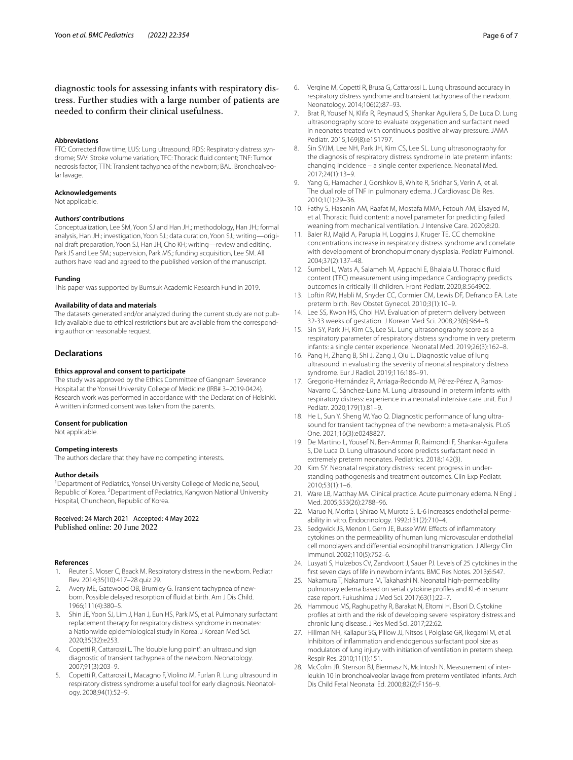diagnostic tools for assessing infants with respiratory distress. Further studies with a large number of patients are needed to confrm their clinical usefulness.

#### **Abbreviations**

FTC: Corrected fow time; LUS: Lung ultrasound; RDS: Respiratory distress syndrome; SVV: Stroke volume variation; TFC: Thoracic fuid content; TNF: Tumor necrosis factor; TTN: Transient tachypnea of the newborn; BAL: Bronchoalveolar lavage.

#### **Acknowledgements**

Not applicable.

#### **Authors' contributions**

Conceptualization, Lee SM, Yoon SJ and Han JH.; methodology, Han JH.; formal analysis, Han JH.; investigation, Yoon SJ.; data curation, Yoon SJ.; writing—original draft preparation, Yoon SJ, Han JH, Cho KH; writing—review and editing, Park JS and Lee SM.; supervision, Park MS.; funding acquisition, Lee SM. All authors have read and agreed to the published version of the manuscript.

#### **Funding**

This paper was supported by Bumsuk Academic Research Fund in 2019.

#### **Availability of data and materials**

The datasets generated and/or analyzed during the current study are not publicly available due to ethical restrictions but are available from the corresponding author on reasonable request.

#### **Declarations**

#### **Ethics approval and consent to participate**

The study was approved by the Ethics Committee of Gangnam Severance Hospital at the Yonsei University College of Medicine (IRB# 3–2019-0424). Research work was performed in accordance with the Declaration of Helsinki. A written informed consent was taken from the parents.

#### **Consent for publication**

Not applicable.

#### **Competing interests**

The authors declare that they have no competing interests.

#### **Author details**

<sup>1</sup> Department of Pediatrics, Yonsei University College of Medicine, Seoul, Republic of Korea. <sup>2</sup> Department of Pediatrics, Kangwon National University Hospital, Chuncheon, Republic of Korea.

# Received: 24 March 2021 Accepted: 4 May 2022<br>Published online: 20 June 2022

#### **References**

- <span id="page-5-0"></span>1. Reuter S, Moser C, Baack M. Respiratory distress in the newborn. Pediatr Rev. 2014;35(10):417–28 quiz 29.
- <span id="page-5-1"></span>2. Avery ME, Gatewood OB, Brumley G. Transient tachypnea of newborn. Possible delayed resorption of fuid at birth. Am J Dis Child. 1966;111(4):380–5.
- <span id="page-5-2"></span>3. Shin JE, Yoon SJ, Lim J, Han J, Eun HS, Park MS, et al. Pulmonary surfactant replacement therapy for respiratory distress syndrome in neonates: a Nationwide epidemiological study in Korea. J Korean Med Sci. 2020;35(32):e253.
- <span id="page-5-3"></span>4. Copetti R, Cattarossi L. The 'double lung point': an ultrasound sign diagnostic of transient tachypnea of the newborn. Neonatology. 2007;91(3):203–9.
- <span id="page-5-4"></span>5. Copetti R, Cattarossi L, Macagno F, Violino M, Furlan R. Lung ultrasound in respiratory distress syndrome: a useful tool for early diagnosis. Neonatology. 2008;94(1):52–9.
- <span id="page-5-5"></span>6. Vergine M, Copetti R, Brusa G, Cattarossi L. Lung ultrasound accuracy in respiratory distress syndrome and transient tachypnea of the newborn. Neonatology. 2014;106(2):87–93.
- <span id="page-5-6"></span>7. Brat R, Yousef N, Klifa R, Reynaud S, Shankar Aguilera S, De Luca D. Lung ultrasonography score to evaluate oxygenation and surfactant need in neonates treated with continuous positive airway pressure. JAMA Pediatr. 2015;169(8):e151797.
- <span id="page-5-7"></span>8. Sin SYJM, Lee NH, Park JH, Kim CS, Lee SL. Lung ultrasonography for the diagnosis of respiratory distress syndrome in late preterm infants: changing incidence – a single center experience. Neonatal Med. 2017;24(1):13–9.
- <span id="page-5-8"></span>9. Yang G, Hamacher J, Gorshkov B, White R, Sridhar S, Verin A, et al. The dual role of TNF in pulmonary edema. J Cardiovasc Dis Res. 2010;1(1):29–36.
- <span id="page-5-9"></span>10. Fathy S, Hasanin AM, Raafat M, Mostafa MMA, Fetouh AM, Elsayed M, et al. Thoracic fuid content: a novel parameter for predicting failed weaning from mechanical ventilation. J Intensive Care. 2020;8:20.
- <span id="page-5-10"></span>11. Baier RJ, Majid A, Parupia H, Loggins J, Kruger TE. CC chemokine concentrations increase in respiratory distress syndrome and correlate with development of bronchopulmonary dysplasia. Pediatr Pulmonol. 2004;37(2):137–48.
- <span id="page-5-11"></span>12. Sumbel L, Wats A, Salameh M, Appachi E, Bhalala U. Thoracic fuid content (TFC) measurement using impedance Cardiography predicts outcomes in critically ill children. Front Pediatr. 2020;8:564902.
- <span id="page-5-12"></span>13. Loftin RW, Habli M, Snyder CC, Cormier CM, Lewis DF, Defranco EA. Late preterm birth. Rev Obstet Gynecol. 2010;3(1):10–9.
- <span id="page-5-13"></span>14. Lee SS, Kwon HS, Choi HM. Evaluation of preterm delivery between 32-33 weeks of gestation. J Korean Med Sci. 2008;23(6):964–8.
- <span id="page-5-14"></span>15. Sin SY, Park JH, Kim CS, Lee SL. Lung ultrasonography score as a respiratory parameter of respiratory distress syndrome in very preterm infants: a single center experience. Neonatal Med. 2019;26(3):162–8.
- <span id="page-5-15"></span>16. Pang H, Zhang B, Shi J, Zang J, Qiu L. Diagnostic value of lung ultrasound in evaluating the severity of neonatal respiratory distress syndrome. Eur J Radiol. 2019;116:186–91.
- <span id="page-5-16"></span>17. Gregorio-Hernández R, Arriaga-Redondo M, Pérez-Pérez A, Ramos-Navarro C, Sánchez-Luna M. Lung ultrasound in preterm infants with respiratory distress: experience in a neonatal intensive care unit. Eur J Pediatr. 2020;179(1):81–9.
- <span id="page-5-17"></span>18. He L, Sun Y, Sheng W, Yao Q. Diagnostic performance of lung ultrasound for transient tachypnea of the newborn: a meta-analysis. PLoS One. 2021;16(3):e0248827.
- <span id="page-5-18"></span>19. De Martino L, Yousef N, Ben-Ammar R, Raimondi F, Shankar-Aguilera S, De Luca D. Lung ultrasound score predicts surfactant need in extremely preterm neonates. Pediatrics. 2018;142(3).
- <span id="page-5-19"></span>20. Kim SY. Neonatal respiratory distress: recent progress in understanding pathogenesis and treatment outcomes. Clin Exp Pediatr. 2010;53(1):1–6.
- <span id="page-5-20"></span>21. Ware LB, Matthay MA. Clinical practice. Acute pulmonary edema. N Engl J Med. 2005;353(26):2788–96.
- <span id="page-5-21"></span>22. Maruo N, Morita I, Shirao M, Murota S. IL-6 increases endothelial permeability in vitro. Endocrinology. 1992;131(2):710–4.
- 23. Sedgwick JB, Menon I, Gern JE, Busse WW. Efects of infammatory cytokines on the permeability of human lung microvascular endothelial cell monolayers and diferential eosinophil transmigration. J Allergy Clin Immunol. 2002;110(5):752–6.
- <span id="page-5-22"></span>24. Lusyati S, Hulzebos CV, Zandvoort J, Sauer PJ. Levels of 25 cytokines in the frst seven days of life in newborn infants. BMC Res Notes. 2013;6:547.
- <span id="page-5-23"></span>25. Nakamura T, Nakamura M, Takahashi N. Neonatal high-permeability pulmonary edema based on serial cytokine profles and KL-6 in serum: case report. Fukushima J Med Sci. 2017;63(1):22–7.
- <span id="page-5-24"></span>26. Hammoud MS, Raghupathy R, Barakat N, Eltomi H, Elsori D. Cytokine profles at birth and the risk of developing severe respiratory distress and chronic lung disease. J Res Med Sci. 2017;22:62.
- <span id="page-5-25"></span>27. Hillman NH, Kallapur SG, Pillow JJ, Nitsos I, Polglase GR, Ikegami M, et al. Inhibitors of infammation and endogenous surfactant pool size as modulators of lung injury with initiation of ventilation in preterm sheep. Respir Res. 2010;11(1):151.
- <span id="page-5-26"></span>28. McColm JR, Stenson BJ, Biermasz N, McIntosh N. Measurement of interleukin 10 in bronchoalveolar lavage from preterm ventilated infants. Arch Dis Child Fetal Neonatal Ed. 2000;82(2):F156–9.